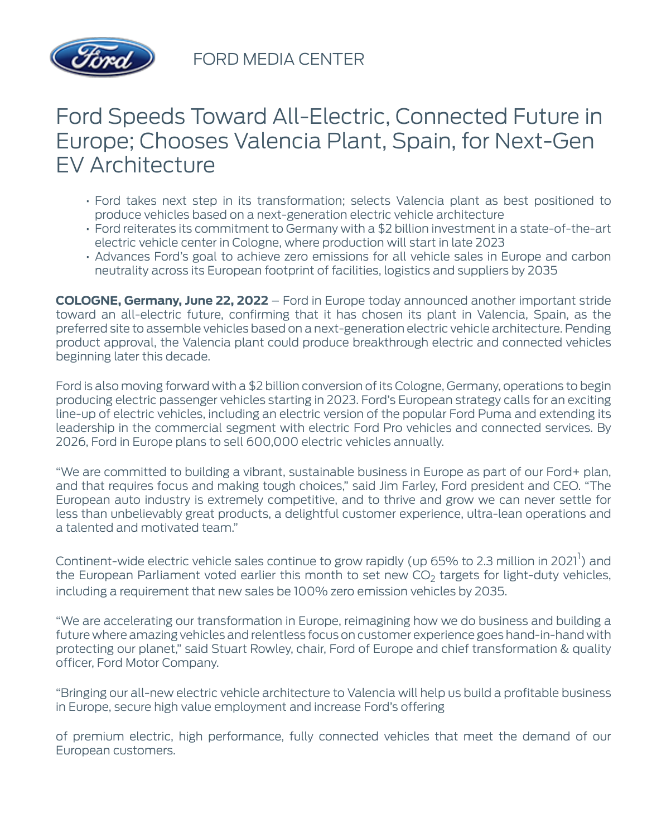

FORD MEDIA CENTER

## Ford Speeds Toward All-Electric, Connected Future in Europe; Chooses Valencia Plant, Spain, for Next-Gen EV Architecture

- Ford takes next step in its transformation; selects Valencia plant as best positioned to produce vehicles based on a next-generation electric vehicle architecture
- Ford reiterates its commitment to Germany with a \$2 billion investment in a state-of-the-art electric vehicle center in Cologne, where production will start in late 2023
- Advances Ford's goal to achieve zero emissions for all vehicle sales in Europe and carbon neutrality across its European footprint of facilities, logistics and suppliers by 2035

**COLOGNE, Germany, June 22, 2022** – Ford in Europe today announced another important stride toward an all-electric future, confirming that it has chosen its plant in Valencia, Spain, as the preferred site to assemble vehicles based on a next-generation electric vehicle architecture. Pending product approval, the Valencia plant could produce breakthrough electric and connected vehicles beginning later this decade.

Ford is also moving forward with a \$2 billion conversion of its Cologne, Germany, operations to begin producing electric passenger vehicles starting in 2023. Ford's European strategy calls for an exciting line-up of electric vehicles, including an electric version of the popular Ford Puma and extending its leadership in the commercial segment with electric Ford Pro vehicles and connected services. By 2026, Ford in Europe plans to sell 600,000 electric vehicles annually.

"We are committed to building a vibrant, sustainable business in Europe as part of our Ford+ plan, and that requires focus and making tough choices," said Jim Farley, Ford president and CEO. "The European auto industry is extremely competitive, and to thrive and grow we can never settle for less than unbelievably great products, a delightful customer experience, ultra-lean operations and a talented and motivated team."

Continent-wide electric vehicle sales continue to grow rapidly (up 65% to 2.3 million in 2021<sup>1</sup>) and the European Parliament voted earlier this month to set new  $CO<sub>2</sub>$  targets for light-duty vehicles, including a requirement that new sales be 100% zero emission vehicles by 2035.

"We are accelerating our transformation in Europe, reimagining how we do business and building a future where amazing vehicles and relentless focus on customer experience goes hand-in-hand with protecting our planet," said Stuart Rowley, chair, Ford of Europe and chief transformation & quality officer, Ford Motor Company.

"Bringing our all-new electric vehicle architecture to Valencia will help us build a profitable business in Europe, secure high value employment and increase Ford's offering

of premium electric, high performance, fully connected vehicles that meet the demand of our European customers.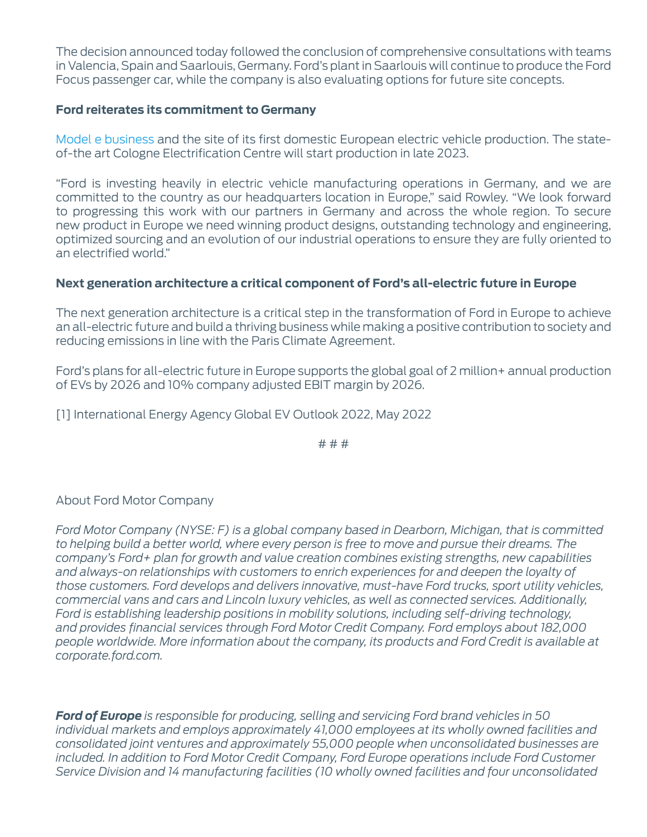The decision announced today followed the conclusion of comprehensive consultations with teams in Valencia, Spain and Saarlouis, Germany. Ford's plant in Saarlouis will continue to produce the Ford Focus passenger car, while the company is also evaluating options for future site concepts.

## **Ford reiterates its commitment to Germany**

[Model e business](https://media.ford.com/content/fordmedia/fna/us/en/news/2022/03/02/ford-accelerating-transformation.html) and the site of its first domestic European electric vehicle production. The stateof-the art Cologne Electrification Centre will start production in late 2023.

"Ford is investing heavily in electric vehicle manufacturing operations in Germany, and we are committed to the country as our headquarters location in Europe," said Rowley. "We look forward to progressing this work with our partners in Germany and across the whole region. To secure new product in Europe we need winning product designs, outstanding technology and engineering, optimized sourcing and an evolution of our industrial operations to ensure they are fully oriented to an electrified world."

## **Next generation architecture a critical component of Ford's all-electric future in Europe**

The next generation architecture is a critical step in the transformation of Ford in Europe to achieve an all-electric future and build a thriving business while making a positive contribution to society and reducing emissions in line with the Paris Climate Agreement.

Ford's plans for all-electric future in Europe supports the global goal of 2 million+ annual production of EVs by 2026 and 10% company adjusted EBIT margin by 2026.

[1] International Energy Agency Global EV Outlook 2022, May 2022

# # #

## About Ford Motor Company

*Ford Motor Company (NYSE: F) is a global company based in Dearborn, Michigan, that is committed to helping build a better world, where every person is free to move and pursue their dreams. The company's Ford+ plan for growth and value creation combines existing strengths, new capabilities and always-on relationships with customers to enrich experiences for and deepen the loyalty of those customers. Ford develops and delivers innovative, must-have Ford trucks, sport utility vehicles, commercial vans and cars and Lincoln luxury vehicles, as well as connected services. Additionally, Ford is establishing leadership positions in mobility solutions, including self-driving technology, and provides financial services through Ford Motor Credit Company. Ford employs about 182,000 people worldwide. More information about the company, its products and Ford Credit is available at corporate.ford.com.*

*Ford of Europe is responsible for producing, selling and servicing Ford brand vehicles in 50 individual markets and employs approximately 41,000 employees at its wholly owned facilities and consolidated joint ventures and approximately 55,000 people when unconsolidated businesses are included. In addition to Ford Motor Credit Company, Ford Europe operations include Ford Customer Service Division and 14 manufacturing facilities (10 wholly owned facilities and four unconsolidated*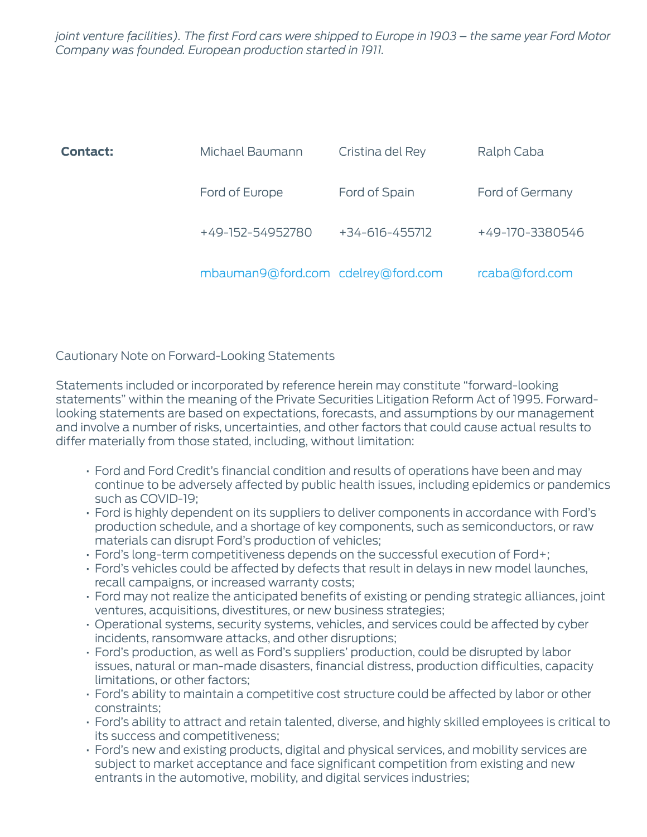*joint venture facilities). The first Ford cars were shipped to Europe in 1903 – the same year Ford Motor Company was founded. European production started in 1911.*

| <b>Contact:</b> | Michael Baumann                    | Cristina del Rey | Ralph Caba      |
|-----------------|------------------------------------|------------------|-----------------|
|                 | Ford of Europe                     | Ford of Spain    | Ford of Germany |
|                 | +49-152-54952780                   | +34-616-455712   | +49-170-3380546 |
|                 | mbauman9@ford.com cdelrey@ford.com |                  | rcaba@ford.com  |

Cautionary Note on Forward-Looking Statements

Statements included or incorporated by reference herein may constitute "forward-looking statements" within the meaning of the Private Securities Litigation Reform Act of 1995. Forwardlooking statements are based on expectations, forecasts, and assumptions by our management and involve a number of risks, uncertainties, and other factors that could cause actual results to differ materially from those stated, including, without limitation:

- Ford and Ford Credit's financial condition and results of operations have been and may continue to be adversely affected by public health issues, including epidemics or pandemics such as COVID-19;
- Ford is highly dependent on its suppliers to deliver components in accordance with Ford's production schedule, and a shortage of key components, such as semiconductors, or raw materials can disrupt Ford's production of vehicles;
- Ford's long-term competitiveness depends on the successful execution of Ford+;
- Ford's vehicles could be affected by defects that result in delays in new model launches, recall campaigns, or increased warranty costs;
- Ford may not realize the anticipated benefits of existing or pending strategic alliances, joint ventures, acquisitions, divestitures, or new business strategies;
- Operational systems, security systems, vehicles, and services could be affected by cyber incidents, ransomware attacks, and other disruptions;
- Ford's production, as well as Ford's suppliers' production, could be disrupted by labor issues, natural or man-made disasters, financial distress, production difficulties, capacity limitations, or other factors;
- Ford's ability to maintain a competitive cost structure could be affected by labor or other constraints;
- Ford's ability to attract and retain talented, diverse, and highly skilled employees is critical to its success and competitiveness;
- Ford's new and existing products, digital and physical services, and mobility services are subject to market acceptance and face significant competition from existing and new entrants in the automotive, mobility, and digital services industries;